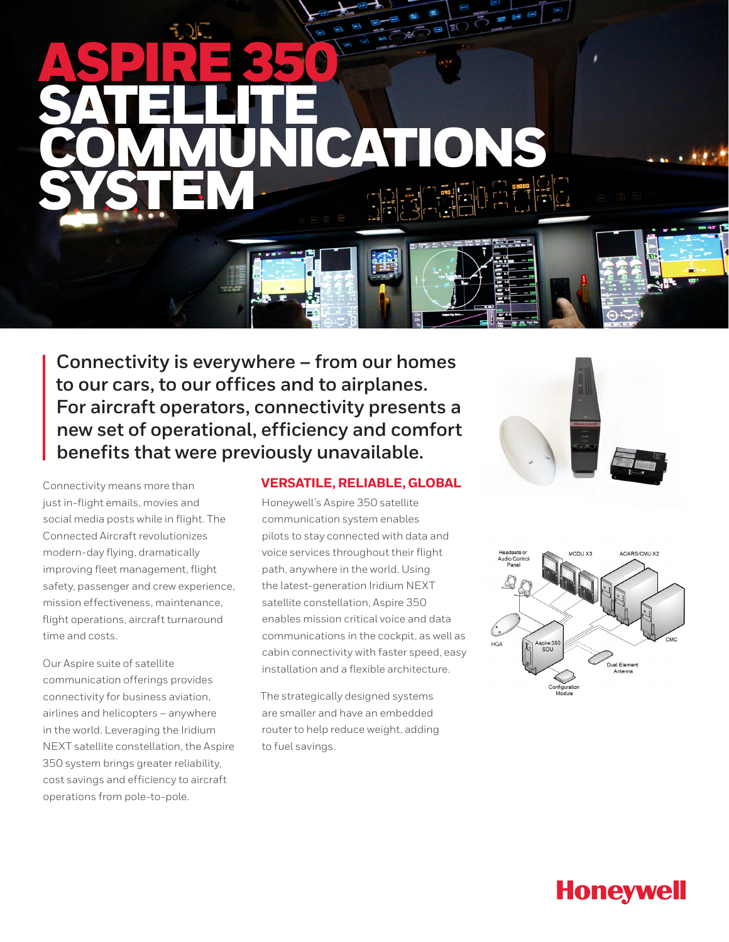# ASPIRE 350 SATELLITE COMMUNICATIONS SYSTEM

**Connectivity is everywhere – from our homes to our cars, to our offices and to airplanes. For aircraft operators, connectivity presents a new set of operational, efficiency and comfort benefits that were previously unavailable.** 

Connectivity means more than just in-flight emails, movies and social media posts while in flight. The Connected Aircraft revolutionizes modern-day flying, dramatically improving fleet management, flight safety, passenger and crew experience, mission effectiveness, maintenance, flight operations, aircraft turnaround time and costs.

Our Aspire suite of satellite communication offerings provides connectivity for business aviation, airlines and helicopters – anywhere in the world. Leveraging the Iridium NEXT satellite constellation, the Aspire 350 system brings greater reliability, cost savings and efficiency to aircraft operations from pole-to-pole.

#### **VERSATILE, RELIABLE, GLOBAL**

Honeywell's Aspire 350 satellite communication system enables pilots to stay connected with data and voice services throughout their flight path, anywhere in the world. Using the latest-generation Iridium NEXT satellite constellation, Aspire 350 enables mission critical voice and data communications in the cockpit, as well as cabin connectivity with faster speed, easy installation and a flexible architecture.

The strategically designed systems are smaller and have an embedded router to help reduce weight, adding to fuel savings.





## **Honeywell**